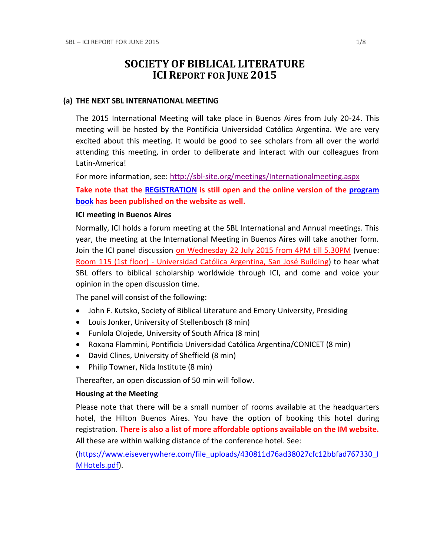# **SOCIETY OF BIBLICAL LITERATURE ICI REPORT FOR JUNE 2015**

### **(a) THE NEXT SBL INTERNATIONAL MEETING**

The 2015 International Meeting will take place in Buenos Aires from July 20-24. This meeting will be hosted by the Pontificia Universidad Católica Argentina. We are very excited about this meeting. It would be good to see scholars from all over the world attending this meeting, in order to deliberate and interact with our colleagues from Latin-America!

For more information, see:<http://sbl-site.org/meetings/Internationalmeeting.aspx>

**Take note that the [REGISTRATION](https://www.eiseverywhere.com/ehome/117643?t=c94dafa0569ad7115129b7587d93b7c6) is still open and the online version of the [program](http://sbl-site.org/meetings/Congresses_ProgramBook.aspx?MeetingId=26) [book](http://sbl-site.org/meetings/Congresses_ProgramBook.aspx?MeetingId=26) has been published on the website as well.**

### **ICI meeting in Buenos Aires**

Normally, ICI holds a forum meeting at the SBL International and Annual meetings. This year, the meeting at the International Meeting in Buenos Aires will take another form. Join the ICI panel discussion on Wednesday 22 July 2015 from 4PM till 5.30PM (venue: Room 115 (1st floor) - Universidad Católica Argentina, San José Building) to hear what SBL offers to biblical scholarship worldwide through ICI, and come and voice your opinion in the open discussion time.

The panel will consist of the following:

- John F. Kutsko, Society of Biblical Literature and Emory University, Presiding
- Louis Jonker, University of Stellenbosch (8 min)
- Funlola Olojede, University of South Africa (8 min)
- Roxana Flammini, Pontificia Universidad Católica Argentina/CONICET (8 min)
- David Clines, University of Sheffield (8 min)
- Philip Towner, Nida Institute (8 min)

Thereafter, an open discussion of 50 min will follow.

### **Housing at the Meeting**

Please note that there will be a small number of rooms available at the headquarters hotel, the Hilton Buenos Aires. You have the option of booking this hotel during registration. **There is also a list of more affordable options available on the IM website.** All these are within walking distance of the conference hotel. See:

[\(https://www.eiseverywhere.com/file\\_uploads/430811d76ad38027cfc12bbfad767330\\_I](https://www.eiseverywhere.com/file_uploads/430811d76ad38027cfc12bbfad767330_IMHotels.pdf) [MHotels.pdf\)](https://www.eiseverywhere.com/file_uploads/430811d76ad38027cfc12bbfad767330_IMHotels.pdf).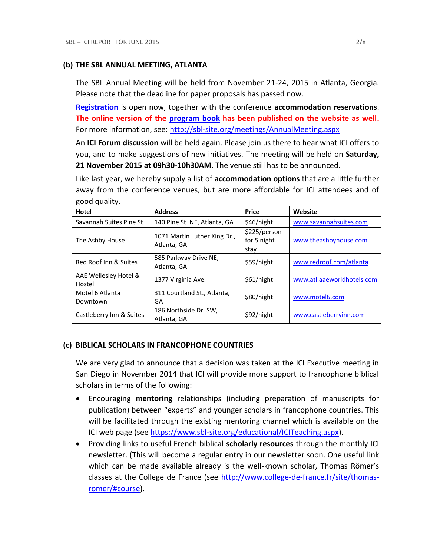### **(b) THE SBL ANNUAL MEETING, ATLANTA**

The SBL Annual Meeting will be held from November 21-24, 2015 in Atlanta, Georgia. Please note that the deadline for paper proposals has passed now.

**[Registration](http://sbl-site.org/meetings/meetings_registrationAM.aspx)** is open now, together with the conference **accommodation reservations**. **The online version of the [program](http://sbl-site.org/meetings/Congresses_ProgramBook.aspx?MeetingId=27) book has been published on the website as well.** For more information, see: <http://sbl-site.org/meetings/AnnualMeeting.aspx>

An **ICI Forum discussion** will be held again. Please join us there to hear what ICI offers to you, and to make suggestions of new initiatives. The meeting will be held on **Saturday, 21 November 2015 at 09h30-10h30AM**. The venue still has to be announced.

Like last year, we hereby supply a list of **accommodation options** that are a little further away from the conference venues, but are more affordable for ICI attendees and of good quality.

| Hotel                           | <b>Address</b>                              | <b>Price</b>                        | Website                    |
|---------------------------------|---------------------------------------------|-------------------------------------|----------------------------|
| Savannah Suites Pine St.        | 140 Pine St. NE, Atlanta, GA                | \$46/night                          | www.savannahsuites.com     |
| The Ashby House                 | 1071 Martin Luther King Dr.,<br>Atlanta, GA | \$225/person<br>for 5 night<br>stav | www.theashbyhouse.com      |
| Red Roof Inn & Suites           | 585 Parkway Drive NE,<br>Atlanta, GA        | \$59/night                          | www.redroof.com/atlanta    |
| AAE Wellesley Hotel &<br>Hostel | 1377 Virginia Ave.                          | \$61/night                          | www.atl.aaeworldhotels.com |
| Motel 6 Atlanta<br>Downtown     | 311 Courtland St., Atlanta,<br>GA           | \$80/night                          | www.motel6.com             |
| Castleberry Inn & Suites        | 186 Northside Dr. SW,<br>Atlanta, GA        | \$92/night                          | www.castleberryinn.com     |

## **(c) BIBLICAL SCHOLARS IN FRANCOPHONE COUNTRIES**

We are very glad to announce that a decision was taken at the ICI Executive meeting in San Diego in November 2014 that ICI will provide more support to francophone biblical scholars in terms of the following:

- Encouraging **mentoring** relationships (including preparation of manuscripts for publication) between "experts" and younger scholars in francophone countries. This will be facilitated through the existing mentoring channel which is available on the ICI web page (see [https://www.sbl-site.org/educational/ICITeaching.aspx\)](https://www.sbl-site.org/educational/ICITeaching.aspx).
- Providing links to useful French biblical **scholarly resources** through the monthly ICI newsletter. (This will become a regular entry in our newsletter soon. One useful link which can be made available already is the well-known scholar, Thomas Römer's classes at the College de France (see [http://www.college-de-france.fr/site/thomas](http://www.college-de-france.fr/site/thomas-romer/#course)[romer/#course\)](http://www.college-de-france.fr/site/thomas-romer/#course).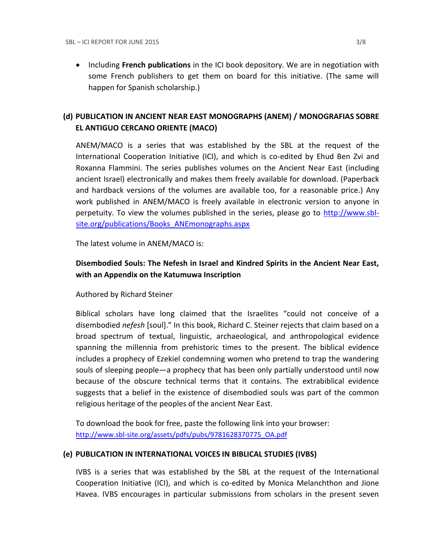**•** Including French publications in the ICI book depository. We are in negotiation with some French publishers to get them on board for this initiative. (The same will happen for Spanish scholarship.)

# **(d) PUBLICATION IN [ANCIENT NEAR EAST MONOGRAPHS](http://www.sbl-site.org/publications/Books_ANEmonographs.aspx) (ANEM) / [MONOGRAFIAS SOBRE](http://www.uca.edu.ar/index.php/site/index/en/universidad/facultades/buenos-aires/cs-sociales-politicas-y-de-la-comunicacion/investigacion/cehao/monografias_aco/)  [EL ANTIGUO CERCANO ORIENTE](http://www.uca.edu.ar/index.php/site/index/en/universidad/facultades/buenos-aires/cs-sociales-politicas-y-de-la-comunicacion/investigacion/cehao/monografias_aco/) (MACO)**

ANEM/MACO is a series that was established by the SBL at the request of the International Cooperation Initiative (ICI), and which is co-edited by Ehud Ben Zvi and Roxanna Flammini. The series publishes volumes on the Ancient Near East (including ancient Israel) electronically and makes them freely available for download. (Paperback and hardback versions of the volumes are available too, for a reasonable price.) Any work published in ANEM/MACO is freely available in electronic version to anyone in perpetuity. To view the volumes published in the series, please go to [http://www.sbl](http://www.sbl-site.org/publications/Books_ANEmonographs.aspx)[site.org/publications/Books\\_ANEmonographs.aspx](http://www.sbl-site.org/publications/Books_ANEmonographs.aspx)

The latest volume in ANEM/MACO is:

# **Disembodied Souls: The Nefesh in Israel and Kindred Spirits in the Ancient Near East, with an Appendix on the Katumuwa Inscription**

Authored by Richard Steiner

Biblical scholars have long claimed that the Israelites "could not conceive of a disembodied *nefesh* [soul]." In this book, Richard C. Steiner rejects that claim based on a broad spectrum of textual, linguistic, archaeological, and anthropological evidence spanning the millennia from prehistoric times to the present. The biblical evidence includes a prophecy of Ezekiel condemning women who pretend to trap the wandering souls of sleeping people—a prophecy that has been only partially understood until now because of the obscure technical terms that it contains. The extrabiblical evidence suggests that a belief in the existence of disembodied souls was part of the common religious heritage of the peoples of the ancient Near East.

To download the book for free, paste the following link into your browser: http://www.sbl-site.org/assets/pdfs/pubs/9781628370775\_OA.pdf

### **(e) PUBLICATION IN INTERNATIONAL VOICES IN BIBLICAL STUDIES (IVBS)**

IVBS is a series that was established by the SBL at the request of the International Cooperation Initiative (ICI), and which is co-edited by Monica Melanchthon and Jione Havea. IVBS encourages in particular submissions from scholars in the present seven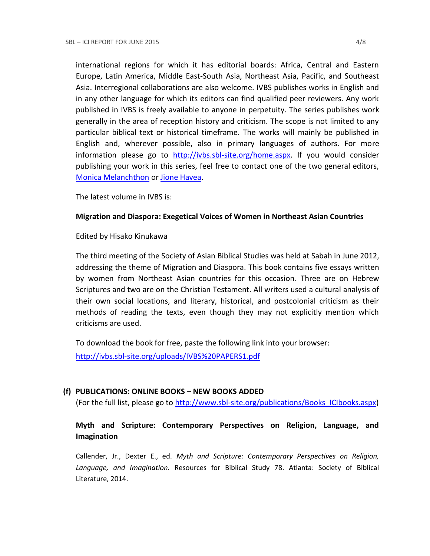international regions for which it has editorial boards: Africa, Central and Eastern Europe, Latin America, Middle East-South Asia, Northeast Asia, Pacific, and Southeast Asia. Interregional collaborations are also welcome. IVBS publishes works in English and in any other language for which its editors can find qualified peer reviewers. Any work published in IVBS is freely available to anyone in perpetuity. The series publishes work generally in the area of reception history and criticism. The scope is not limited to any particular biblical text or historical timeframe. The works will mainly be published in English and, wherever possible, also in primary languages of authors. For more information please go to [http://ivbs.sbl-site.org/home.aspx.](http://ivbs.sbl-site.org/home.aspx) If you would consider publishing your work in this series, feel free to contact one of the two general editors, [Monica Melanchthon](mailto:ivbs2010@gmail.com) or [Jione Havea.](mailto:jioneh@nsw.uca.org.au)

The latest volume in IVBS is:

### **Migration and Diaspora: Exegetical Voices of Women in Northeast Asian Countries**

### Edited by Hisako Kinukawa

The third meeting of the Society of Asian Biblical Studies was held at Sabah in June 2012, addressing the theme of Migration and Diaspora. This book contains five essays written by women from Northeast Asian countries for this occasion. Three are on Hebrew Scriptures and two are on the Christian Testament. All writers used a cultural analysis of their own social locations, and literary, historical, and postcolonial criticism as their methods of reading the texts, even though they may not explicitly mention which criticisms are used.

To download the book for free, paste the following link into your browser: <http://ivbs.sbl-site.org/uploads/IVBS%20PAPERS1.pdf>

# **(f) PUBLICATIONS: ONLINE BOOKS – NEW BOOKS ADDED**

(For the full list, please go to [http://www.sbl-site.org/publications/Books\\_ICIbooks.aspx\)](http://www.sbl-site.org/publications/Books_ICIbooks.aspx)

# **Myth and Scripture: Contemporary Perspectives on Religion, Language, and Imagination**

Callender, Jr., Dexter E., ed. *Myth and Scripture: Contemporary Perspectives on Religion, Language, and Imagination.* Resources for Biblical Study 78. Atlanta: Society of Biblical Literature, 2014.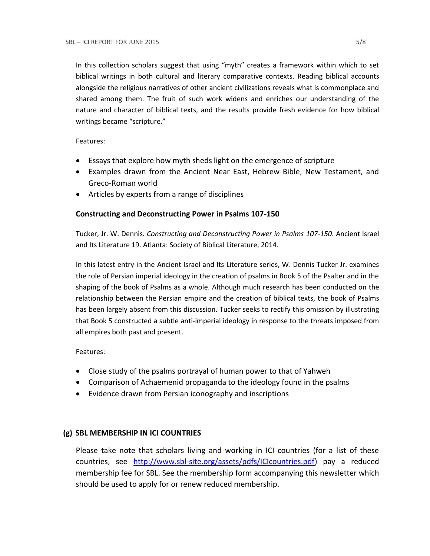In this collection scholars suggest that using "myth" creates a framework within which to set biblical writings in both cultural and literary comparative contexts. Reading biblical accounts alongside the religious narratives of other ancient civilizations reveals what is commonplace and shared among them. The fruit of such work widens and enriches our understanding of the nature and character of biblical texts, and the results provide fresh evidence for how biblical writings became "scripture."

Features:

- Essays that explore how myth sheds light on the emergence of scripture
- Examples drawn from the Ancient Near East, Hebrew Bible, New Testament, and Greco-Roman world
- Articles by experts from a range of disciplines

# **Constructing and Deconstructing Power in Psalms 107-150**

Tucker, Jr. W. Dennis. *Constructing and Deconstructing Power in Psalms 107-150*. Ancient Israel and Its Literature 19. Atlanta: Society of Biblical Literature, 2014.

In this latest entry in the Ancient Israel and Its Literature series, W. Dennis Tucker Jr. examines the role of Persian imperial ideology in the creation of psalms in Book 5 of the Psalter and in the shaping of the book of Psalms as a whole. Although much research has been conducted on the relationship between the Persian empire and the creation of biblical texts, the book of Psalms has been largely absent from this discussion. Tucker seeks to rectify this omission by illustrating that Book 5 constructed a subtle anti-imperial ideology in response to the threats imposed from all empires both past and present.

Features:

- Close study of the psalms portrayal of human power to that of Yahweh
- Comparison of Achaemenid propaganda to the ideology found in the psalms
- Evidence drawn from Persian iconography and inscriptions

# **(g) SBL MEMBERSHIP IN ICI COUNTRIES**

Please take note that scholars living and working in ICI countries (for a list of these countries, see [http://www.sbl-site.org/assets/pdfs/ICIcountries.pdf\)](http://www.sbl-site.org/assets/pdfs/ICIcountries.pdf) pay a reduced membership fee for SBL. See the membership form accompanying this newsletter which should be used to apply for or renew reduced membership.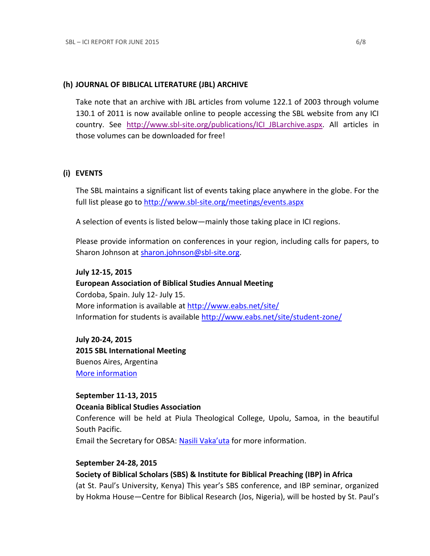### **(h) JOURNAL OF BIBLICAL LITERATURE (JBL) ARCHIVE**

Take note that an archive with JBL articles from volume 122.1 of 2003 through volume 130.1 of 2011 is now available online to people accessing the SBL website from any ICI country. See [http://www.sbl-site.org/publications/ICI\\_JBLarchive.aspx.](http://www.sbl-site.org/publications/ICI_JBLarchive.aspx) All articles in those volumes can be downloaded for free!

## **(i) EVENTS**

The SBL maintains a significant list of events taking place anywhere in the globe. For the full list please go to<http://www.sbl-site.org/meetings/events.aspx>

A selection of events is listed below—mainly those taking place in ICI regions.

Please provide information on conferences in your region, including calls for papers, to Sharon Johnson at [sharon.johnson@sbl-site.org.](mailto:sharon.johnson@sbl-site.org)

#### **July 12-15, 2015**

**European Association of Biblical Studies Annual Meeting** Cordoba, Spain. July 12- July 15. More information is available a[t http://www.eabs.net/site/](http://www.eabs.net/site/) Information for students is available <http://www.eabs.net/site/student-zone/>

**July 20-24, 2015 2015 SBL International Meeting** Buenos Aires, Argentina [More information](http://www.sbl-site.org/meetings/Internationalmeeting.aspx)

## **September 11-13, 2015 Oceania Biblical Studies Association**

Conference will be held at Piula Theological College, Upolu, Samoa, in the beautiful South Pacific.

Email the Secretary for OBSA: [Nasili Vaka'uta](mailto:%20OBSAMail@gmail.com) for more information.

#### **September 24-28, 2015**

### **Society of Biblical Scholars (SBS) & Institute for Biblical Preaching (IBP) in Africa**

(at St. Paul's University, Kenya) This year's SBS conference, and IBP seminar, organized by Hokma House—Centre for Biblical Research (Jos, Nigeria), will be hosted by St. Paul's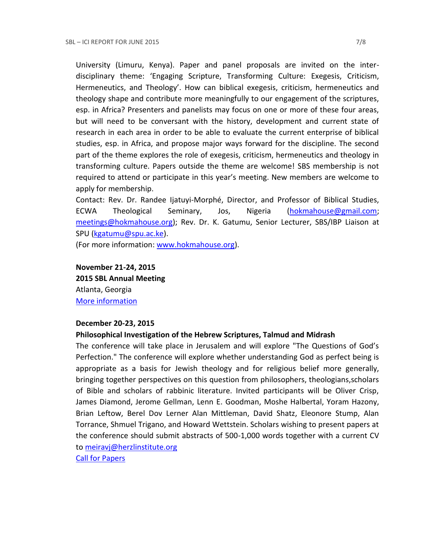University (Limuru, Kenya). Paper and panel proposals are invited on the interdisciplinary theme: 'Engaging Scripture, Transforming Culture: Exegesis, Criticism, Hermeneutics, and Theology'. How can biblical exegesis, criticism, hermeneutics and theology shape and contribute more meaningfully to our engagement of the scriptures, esp. in Africa? Presenters and panelists may focus on one or more of these four areas, but will need to be conversant with the history, development and current state of research in each area in order to be able to evaluate the current enterprise of biblical studies, esp. in Africa, and propose major ways forward for the discipline. The second part of the theme explores the role of exegesis, criticism, hermeneutics and theology in transforming culture. Papers outside the theme are welcome! SBS membership is not required to attend or participate in this year's meeting. New members are welcome to apply for membership.

Contact: Rev. Dr. Randee Ijatuyi-Morphé, Director, and Professor of Biblical Studies, ECWA Theological Seminary, Jos, Nigeria [\(hokmahouse@gmail.com;](mailto:hokmahouse@gmail.com) [meetings@hokmahouse.org\)](mailto:meetings@hokmahouse.org); Rev. Dr. K. Gatumu, Senior Lecturer, SBS/IBP Liaison at SPU [\(kgatumu@spu.ac.ke\)](mailto:kgatumu@spu.ac.ke).

(For more information: [www.hokmahouse.org\)](http://www.hokmahouse.org/).

# **November 21-24, 2015 2015 SBL Annual Meeting** Atlanta, Georgia [More information](http://sbl-site.org/meetings/Annualmeeting.aspx)

### **December 20-23, 2015**

#### **Philosophical Investigation of the Hebrew Scriptures, Talmud and Midrash**

The conference will take place in Jerusalem and will explore "The Questions of God's Perfection." The conference will explore whether understanding God as perfect being is appropriate as a basis for Jewish theology and for religious belief more generally, bringing together perspectives on this question from philosophers, theologians,scholars of Bible and scholars of rabbinic literature. Invited participants will be Oliver Crisp, James Diamond, Jerome Gellman, Lenn E. Goodman, Moshe Halbertal, Yoram Hazony, Brian Leftow, Berel Dov Lerner Alan Mittleman, David Shatz, Eleonore Stump, Alan Torrance, Shmuel Trigano, and Howard Wettstein. Scholars wishing to present papers at the conference should submit abstracts of 500-1,000 words together with a current CV to [meiravj@herzlinstitute.org](mailto:meiravj@herzlinstitute.org)

[Call for Papers](http://bibleandphilosophy.org/wp-content/uploads/2014/02/2015-conference-announcement-v-4.pdf)